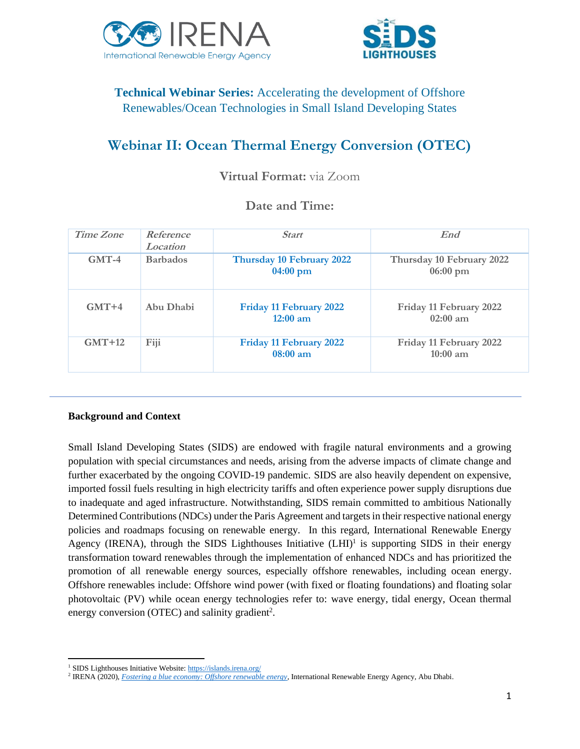



## **Technical Webinar Series:** Accelerating the development of Offshore Renewables/Ocean Technologies in Small Island Developing States

# **Webinar II: Ocean Thermal Energy Conversion (OTEC)**

### **Virtual Format:** via Zoom

### **Date and Time:**

| Time Zone | Reference<br>Location | <b>Start</b>                                 | End                                             |
|-----------|-----------------------|----------------------------------------------|-------------------------------------------------|
| $GMT-4$   | <b>Barbados</b>       | Thursday 10 February 2022<br>$04:00$ pm      | Thursday 10 February 2022<br>$06:00 \text{ pm}$ |
| $GMT+4$   | Abu Dhabi             | <b>Friday 11 February 2022</b><br>$12:00$ am | Friday 11 February 2022<br>$02:00$ am           |
| $GMT+12$  | Fiji                  | Friday 11 February 2022<br>08:00 am          | Friday 11 February 2022<br>$10:00$ am           |

#### **Background and Context**

Small Island Developing States (SIDS) are endowed with fragile natural environments and a growing population with special circumstances and needs, arising from the adverse impacts of climate change and further exacerbated by the ongoing COVID-19 pandemic. SIDS are also heavily dependent on expensive, imported fossil fuels resulting in high electricity tariffs and often experience power supply disruptions due to inadequate and aged infrastructure. Notwithstanding, SIDS remain committed to ambitious Nationally Determined Contributions (NDCs) under the Paris Agreement and targets in their respective national energy policies and roadmaps focusing on renewable energy. In this regard, International Renewable Energy Agency (IRENA), through the SIDS Lighthouses Initiative  $(LH I)^1$  is supporting SIDS in their energy transformation toward renewables through the implementation of enhanced NDCs and has prioritized the promotion of all renewable energy sources, especially offshore renewables, including ocean energy. Offshore renewables include: Offshore wind power (with fixed or floating foundations) and floating solar photovoltaic (PV) while ocean energy technologies refer to: wave energy, tidal energy, Ocean thermal energy conversion (OTEC) and salinity gradient<sup>2</sup>.

<sup>&</sup>lt;sup>1</sup> SIDS Lighthouses Initiative Website[: https://islands.irena.org/](https://islands.irena.org/)

<sup>2</sup> IRENA (2020), *[Fostering a blue economy: Offshore renewable energy](https://www.irena.org/publications/2020/Dec/Fostering-a-blue-economy-Offshore-renewable-energy)*, International Renewable Energy Agency, Abu Dhabi.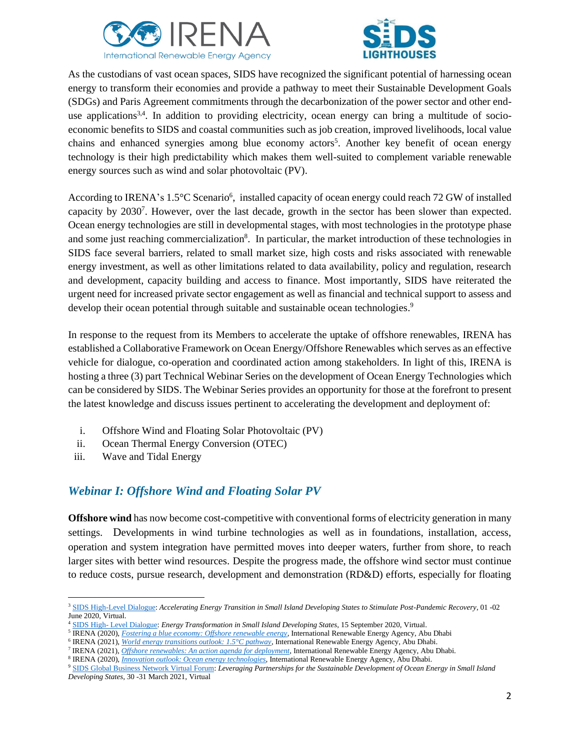



As the custodians of vast ocean spaces, SIDS have recognized the significant potential of harnessing ocean energy to transform their economies and provide a pathway to meet their Sustainable Development Goals (SDGs) and Paris Agreement commitments through the decarbonization of the power sector and other enduse applications<sup>3,4</sup>. In addition to providing electricity, ocean energy can bring a multitude of socioeconomic benefits to SIDS and coastal communities such as job creation, improved livelihoods, local value chains and enhanced synergies among blue economy actors<sup>5</sup>. Another key benefit of ocean energy technology is their high predictability which makes them well-suited to complement variable renewable energy sources such as wind and solar photovoltaic (PV).

According to IRENA's 1.5°C Scenario<sup>6</sup>, installed capacity of ocean energy could reach 72 GW of installed capacity by 2030<sup>7</sup>. However, over the last decade, growth in the sector has been slower than expected. Ocean energy technologies are still in developmental stages, with most technologies in the prototype phase and some just reaching commercialization<sup>8</sup>. In particular, the market introduction of these technologies in SIDS face several barriers, related to small market size, high costs and risks associated with renewable energy investment, as well as other limitations related to data availability, policy and regulation, research and development, capacity building and access to finance. Most importantly, SIDS have reiterated the urgent need for increased private sector engagement as well as financial and technical support to assess and develop their ocean potential through suitable and sustainable ocean technologies.<sup>9</sup>

In response to the request from its Members to accelerate the uptake of offshore renewables, IRENA has established a Collaborative Framework on Ocean Energy/Offshore Renewables which serves as an effective vehicle for dialogue, co-operation and coordinated action among stakeholders. In light of this, IRENA is hosting a three (3) part Technical Webinar Series on the development of Ocean Energy Technologies which can be considered by SIDS. The Webinar Series provides an opportunity for those at the forefront to present the latest knowledge and discuss issues pertinent to accelerating the development and deployment of:

- i. Offshore Wind and Floating Solar Photovoltaic (PV)
- ii. Ocean Thermal Energy Conversion (OTEC)
- iii. Wave and Tidal Energy

### *Webinar I: Offshore Wind and Floating Solar PV*

**Offshore wind** has now become cost-competitive with conventional forms of electricity generation in many settings. Developments in wind turbine technologies as well as in foundations, installation, access, operation and system integration have permitted moves into deeper waters, further from shore, to reach larger sites with better wind resources. Despite the progress made, the offshore wind sector must continue to reduce costs, pursue research, development and demonstration (RD&D) efforts, especially for floating

<sup>3</sup> [SIDS High-Level Dialogue:](https://www.irena.org/events/2020/Jun/SIDS-High-Level-Dialogue-with-AOSIS) *Accelerating Energy Transition in Small Island Developing States to Stimulate Post-Pandemic Recovery*, 01 -02 June 2020, Virtual.

<sup>4</sup> SIDS High- [Level Dialogue:](https://www.irena.org/events/2020/Sep/Energy-Transformation-in-Small-Island-Developing-States) *Energy Transformation in Small Island Developing States*, 15 September 2020, Virtual.

<sup>5</sup> IRENA (2020), *[Fostering a blue economy: Offshore renewable energy](https://www.irena.org/publications/2020/Dec/Fostering-a-blue-economy-Offshore-renewable-energy)*, International Renewable Energy Agency, Abu Dhabi

<sup>6</sup> IRENA (2021), *[World energy transitions outlook: 1.5°C pathway](https://www.irena.org/publications/2021/Jun/World-Energy-Transitions-Outlook)*, International Renewable Energy Agency, Abu Dhabi.

<sup>7</sup> IRENA (2021), *[Offshore renewables: An action agenda for deployment](https://irena.org/publications/2021/Jul/Offshore-Renewables-An-Action-Agenda-for-Deployment)*, International Renewable Energy Agency, Abu Dhabi.

<sup>8</sup> IRENA (2020), *[Innovation outlook: Ocean energy technologies](https://www.irena.org/publications/2020/Dec/Innovation-Outlook-Ocean-Energy-Technologies)*, International Renewable Energy Agency, Abu Dhabi.

<sup>9</sup> [SIDS Global Business Network Virtual Forum:](https://www.un.org/ohrlls/zh/node/1882) *Leveraging Partnerships for the Sustainable Development of Ocean Energy in Small Island Developing States*, 30 -31 March 2021, Virtual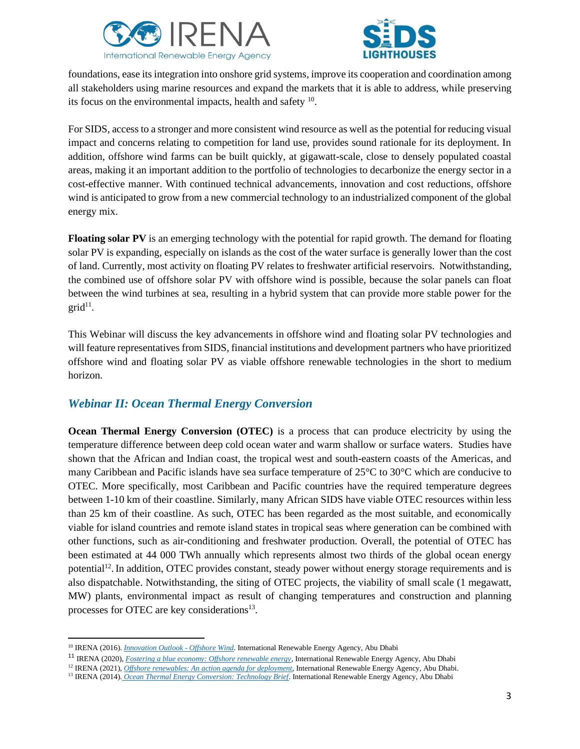



foundations, ease its integration into onshore grid systems, improve its cooperation and coordination among all stakeholders using marine resources and expand the markets that it is able to address, while preserving its focus on the environmental impacts, health and safety  $10$ .

For SIDS, access to a stronger and more consistent wind resource as well as the potential for reducing visual impact and concerns relating to competition for land use, provides sound rationale for its deployment. In addition, offshore wind farms can be built quickly, at gigawatt-scale, close to densely populated coastal areas, making it an important addition to the portfolio of technologies to decarbonize the energy sector in a cost-effective manner. With continued technical advancements, innovation and cost reductions, offshore wind is anticipated to grow from a new commercial technology to an industrialized component of the global energy mix.

**Floating solar PV** is an emerging technology with the potential for rapid growth. The demand for floating solar PV is expanding, especially on islands as the cost of the water surface is generally lower than the cost of land. Currently, most activity on floating PV relates to freshwater artificial reservoirs. Notwithstanding, the combined use of offshore solar PV with offshore wind is possible, because the solar panels can float between the wind turbines at sea, resulting in a hybrid system that can provide more stable power for the  $grid<sup>11</sup>$ .

This Webinar will discuss the key advancements in offshore wind and floating solar PV technologies and will feature representatives from SIDS, financial institutions and development partners who have prioritized offshore wind and floating solar PV as viable offshore renewable technologies in the short to medium horizon.

### *Webinar II: Ocean Thermal Energy Conversion*

**Ocean Thermal Energy Conversion (OTEC)** is a process that can produce electricity by using the temperature difference between deep cold ocean water and warm shallow or surface waters. Studies have shown that the African and Indian coast, the tropical west and south-eastern coasts of the Americas, and many Caribbean and Pacific islands have sea surface temperature of 25°C to 30°C which are conducive to OTEC. More specifically, most Caribbean and Pacific countries have the required temperature degrees between 1-10 km of their coastline. Similarly, many African SIDS have viable OTEC resources within less than 25 km of their coastline. As such, OTEC has been regarded as the most suitable, and economically viable for island countries and remote island states in tropical seas where generation can be combined with other functions, such as air-conditioning and freshwater production. Overall, the potential of OTEC has been estimated at 44 000 TWh annually which represents almost two thirds of the global ocean energy potential<sup>12</sup>. In addition, OTEC provides constant, steady power without energy storage requirements and is also dispatchable. Notwithstanding, the siting of OTEC projects, the viability of small scale (1 megawatt, MW) plants, environmental impact as result of changing temperatures and construction and planning processes for OTEC are key considerations<sup>13</sup>.

<sup>10</sup> IRENA (2016). *[Innovation Outlook](ps://www.irena.org/publications/2016/oct/innovation-outlook-offshore-wind) - Offshore Wind*. International Renewable Energy Agency, Abu Dhabi

<sup>11</sup> IRENA (2020), *[Fostering a blue economy: Offshore renewable energy](https://www.irena.org/publications/2020/Dec/Fostering-a-blue-economy-Offshore-renewable-energy)*, International Renewable Energy Agency, Abu Dhabi

<sup>&</sup>lt;sup>12</sup> IRENA (2021), *[Offshore renewables: An action agenda for deployment](https://irena.org/publications/2021/Jul/Offshore-Renewables-An-Action-Agenda-for-Deployment)*, International Renewable Energy Agency, Abu Dhabi.

<sup>13</sup> IRENA (2014). *[Ocean Thermal Energy Conversion: Technology Brief](https://www.irena.org/publications/2014/Jun/Ocean-Thermal-Energy-Conversion)*. International Renewable Energy Agency, Abu Dhabi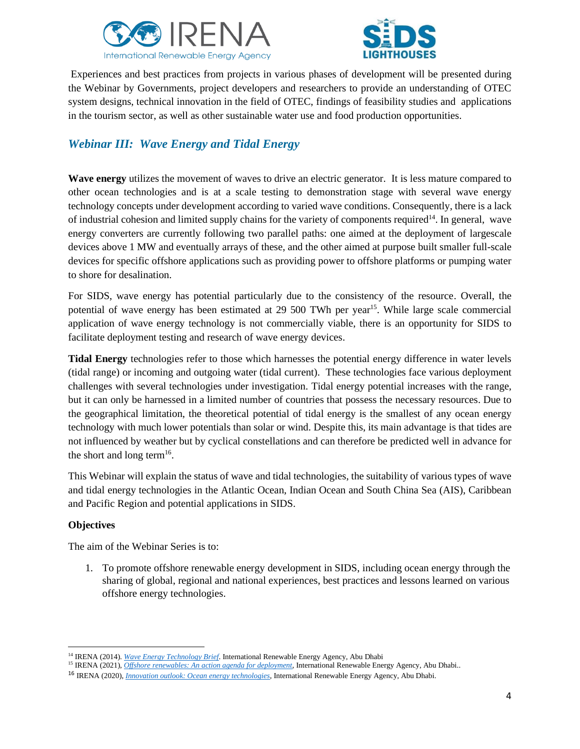



Experiences and best practices from projects in various phases of development will be presented during the Webinar by Governments, project developers and researchers to provide an understanding of OTEC system designs, technical innovation in the field of OTEC, findings of feasibility studies and applications in the tourism sector, as well as other sustainable water use and food production opportunities.

# *Webinar III: Wave Energy and Tidal Energy*

**Wave energy** utilizes the movement of waves to drive an electric generator. It is less mature compared to other ocean technologies and is at a scale testing to demonstration stage with several wave energy technology concepts under development according to varied wave conditions. Consequently, there is a lack of industrial cohesion and limited supply chains for the variety of components required<sup>14</sup>. In general, wave energy converters are currently following two parallel paths: one aimed at the deployment of largescale devices above 1 MW and eventually arrays of these, and the other aimed at purpose built smaller full-scale devices for specific offshore applications such as providing power to offshore platforms or pumping water to shore for desalination.

For SIDS, wave energy has potential particularly due to the consistency of the resource. Overall, the potential of wave energy has been estimated at 29 500 TWh per year<sup>15</sup>. While large scale commercial application of wave energy technology is not commercially viable, there is an opportunity for SIDS to facilitate deployment testing and research of wave energy devices.

**Tidal Energy** technologies refer to those which harnesses the potential energy difference in water levels (tidal range) or incoming and outgoing water (tidal current). These technologies face various deployment challenges with several technologies under investigation. Tidal energy potential increases with the range, but it can only be harnessed in a limited number of countries that possess the necessary resources. Due to the geographical limitation, the theoretical potential of tidal energy is the smallest of any ocean energy technology with much lower potentials than solar or wind. Despite this, its main advantage is that tides are not influenced by weather but by cyclical constellations and can therefore be predicted well in advance for the short and long term<sup>16</sup>.

This Webinar will explain the status of wave and tidal technologies, the suitability of various types of wave and tidal energy technologies in the Atlantic Ocean, Indian Ocean and South China Sea (AIS), Caribbean and Pacific Region and potential applications in SIDS.

#### **Objectives**

The aim of the Webinar Series is to:

1. To promote offshore renewable energy development in SIDS, including ocean energy through the sharing of global, regional and national experiences, best practices and lessons learned on various offshore energy technologies.

<sup>14</sup> IRENA (2014). *[Wave Energy Technology Brief](https://www.irena.org/-/media/Files/IRENA/Agency/Publication/2014/Wave-Energy_V4_web.pdf)*. International Renewable Energy Agency, Abu Dhabi

<sup>15</sup> IRENA (2021), *[Offshore renewables: An action agenda for deployment](https://irena.org/publications/2021/Jul/Offshore-Renewables-An-Action-Agenda-for-Deployment)*, International Renewable Energy Agency, Abu Dhabi..

<sup>16</sup> IRENA (2020), *[Innovation outlook: Ocean energy technologies](https://www.irena.org/publications/2020/Dec/Innovation-Outlook-Ocean-Energy-Technologies)*, International Renewable Energy Agency, Abu Dhabi.